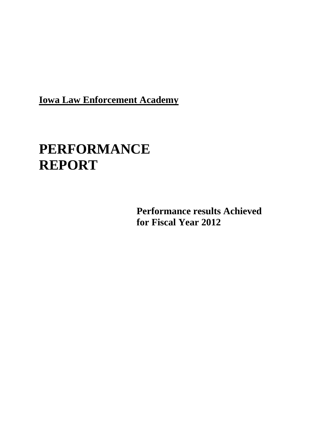**Iowa Law Enforcement Academy**

# **PERFORMANCE REPORT**

**Performance results Achieved for Fiscal Year 2012**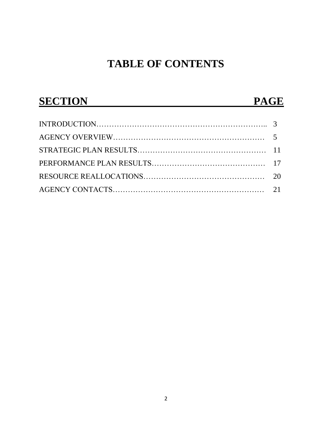# **TABLE OF CONTENTS**

| <b>SECTION</b> | <b>PAGE</b> |  |
|----------------|-------------|--|
|                |             |  |
|                |             |  |
|                |             |  |
|                |             |  |
|                |             |  |
|                |             |  |
|                |             |  |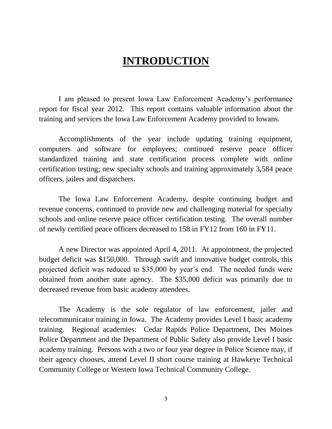# **INTRODUCTION**

I am pleased to present Iowa Law Enforcement Academy's performance report for fiscal year 2012. This report contains valuable information about the training and services the Iowa Law Enforcement Academy provided to Iowans.

Accomplishments of the year include updating training equipment, computers and software for employees; continued reserve peace officer standardized training and state certification process complete with online certification testing; new specialty schools and training approximately 3,584 peace officers, jailers and dispatchers.

The Iowa Law Enforcement Academy, despite continuing budget and revenue concerns, continued to provide new and challenging material for specialty schools and online reserve peace officer certification testing. The overall number of newly certified peace officers decreased to 158 in FY12 from 160 in FY11.

A new Director was appointed April 4, 2011. At appointment, the projected budget deficit was \$150,000. Through swift and innovative budget controls, this projected deficit was reduced to \$35,000 by year's end. The needed funds were obtained from another state agency. The \$35,000 deficit was primarily due to decreased revenue from basic academy attendees.

The Academy is the sole regulator of law enforcement, jailer and telecommunicator training in Iowa. The Academy provides Level I basic academy training. Regional academies: Cedar Rapids Police Department, Des Moines Police Department and the Department of Public Safety also provide Level I basic academy training. Persons with a two or four year degree in Police Science may, if their agency chooses, attend Level II short course training at Hawkeye Technical Community College or Western Iowa Technical Community College.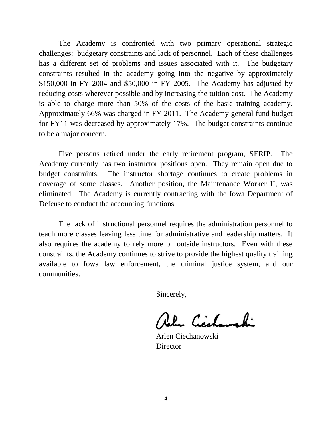The Academy is confronted with two primary operational strategic challenges: budgetary constraints and lack of personnel. Each of these challenges has a different set of problems and issues associated with it. The budgetary constraints resulted in the academy going into the negative by approximately \$150,000 in FY 2004 and \$50,000 in FY 2005. The Academy has adjusted by reducing costs wherever possible and by increasing the tuition cost. The Academy is able to charge more than 50% of the costs of the basic training academy. Approximately 66% was charged in FY 2011. The Academy general fund budget for FY11 was decreased by approximately 17%. The budget constraints continue to be a major concern.

Five persons retired under the early retirement program, SERIP. The Academy currently has two instructor positions open. They remain open due to budget constraints. The instructor shortage continues to create problems in coverage of some classes. Another position, the Maintenance Worker II, was eliminated. The Academy is currently contracting with the Iowa Department of Defense to conduct the accounting functions.

The lack of instructional personnel requires the administration personnel to teach more classes leaving less time for administrative and leadership matters. It also requires the academy to rely more on outside instructors. Even with these constraints, the Academy continues to strive to provide the highest quality training available to Iowa law enforcement, the criminal justice system, and our communities.

Sincerely,

Robert Cicchamphi

Arlen Ciechanowski **Director**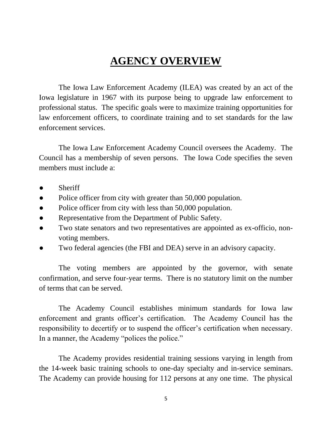# **AGENCY OVERVIEW**

The Iowa Law Enforcement Academy (ILEA) was created by an act of the Iowa legislature in 1967 with its purpose being to upgrade law enforcement to professional status. The specific goals were to maximize training opportunities for law enforcement officers, to coordinate training and to set standards for the law enforcement services.

The Iowa Law Enforcement Academy Council oversees the Academy. The Council has a membership of seven persons. The Iowa Code specifies the seven members must include a:

- Sheriff
- Police officer from city with greater than 50,000 population.
- Police officer from city with less than 50,000 population.
- Representative from the Department of Public Safety.
- Two state senators and two representatives are appointed as ex-officio, nonvoting members.
- Two federal agencies (the FBI and DEA) serve in an advisory capacity.

The voting members are appointed by the governor, with senate confirmation, and serve four-year terms. There is no statutory limit on the number of terms that can be served.

The Academy Council establishes minimum standards for Iowa law enforcement and grants officer's certification. The Academy Council has the responsibility to decertify or to suspend the officer's certification when necessary. In a manner, the Academy "polices the police."

The Academy provides residential training sessions varying in length from the 14-week basic training schools to one-day specialty and in-service seminars. The Academy can provide housing for 112 persons at any one time. The physical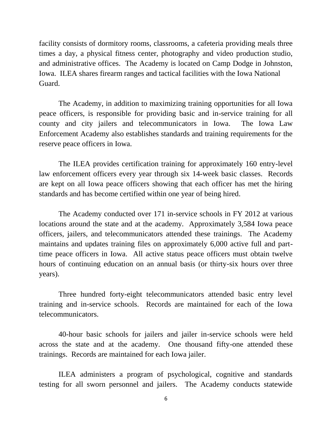facility consists of dormitory rooms, classrooms, a cafeteria providing meals three times a day, a physical fitness center, photography and video production studio, and administrative offices. The Academy is located on Camp Dodge in Johnston, Iowa. ILEA shares firearm ranges and tactical facilities with the Iowa National Guard.

The Academy, in addition to maximizing training opportunities for all Iowa peace officers, is responsible for providing basic and in-service training for all county and city jailers and telecommunicators in Iowa. The Iowa Law Enforcement Academy also establishes standards and training requirements for the reserve peace officers in Iowa.

The ILEA provides certification training for approximately 160 entry-level law enforcement officers every year through six 14-week basic classes. Records are kept on all Iowa peace officers showing that each officer has met the hiring standards and has become certified within one year of being hired.

The Academy conducted over 171 in-service schools in FY 2012 at various locations around the state and at the academy. Approximately 3,584 Iowa peace officers, jailers, and telecommunicators attended these trainings. The Academy maintains and updates training files on approximately 6,000 active full and parttime peace officers in Iowa. All active status peace officers must obtain twelve hours of continuing education on an annual basis (or thirty-six hours over three years).

Three hundred forty-eight telecommunicators attended basic entry level training and in-service schools. Records are maintained for each of the Iowa telecommunicators.

40-hour basic schools for jailers and jailer in-service schools were held across the state and at the academy. One thousand fifty-one attended these trainings. Records are maintained for each Iowa jailer.

ILEA administers a program of psychological, cognitive and standards testing for all sworn personnel and jailers. The Academy conducts statewide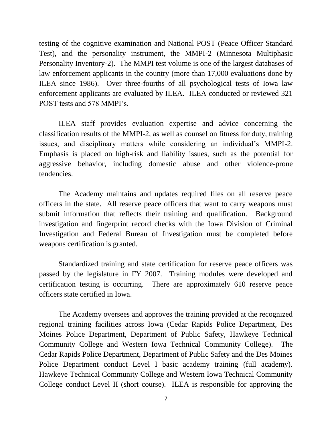testing of the cognitive examination and National POST (Peace Officer Standard Test), and the personality instrument, the MMPI-2 (Minnesota Multiphasic Personality Inventory-2). The MMPI test volume is one of the largest databases of law enforcement applicants in the country (more than 17,000 evaluations done by ILEA since 1986). Over three-fourths of all psychological tests of Iowa law enforcement applicants are evaluated by ILEA. ILEA conducted or reviewed 321 POST tests and 578 MMPI's.

ILEA staff provides evaluation expertise and advice concerning the classification results of the MMPI-2, as well as counsel on fitness for duty, training issues, and disciplinary matters while considering an individual's MMPI-2. Emphasis is placed on high-risk and liability issues, such as the potential for aggressive behavior, including domestic abuse and other violence-prone tendencies.

The Academy maintains and updates required files on all reserve peace officers in the state. All reserve peace officers that want to carry weapons must submit information that reflects their training and qualification. Background investigation and fingerprint record checks with the Iowa Division of Criminal Investigation and Federal Bureau of Investigation must be completed before weapons certification is granted.

Standardized training and state certification for reserve peace officers was passed by the legislature in FY 2007. Training modules were developed and certification testing is occurring. There are approximately 610 reserve peace officers state certified in Iowa.

The Academy oversees and approves the training provided at the recognized regional training facilities across Iowa (Cedar Rapids Police Department, Des Moines Police Department, Department of Public Safety, Hawkeye Technical Community College and Western Iowa Technical Community College). The Cedar Rapids Police Department, Department of Public Safety and the Des Moines Police Department conduct Level I basic academy training (full academy). Hawkeye Technical Community College and Western Iowa Technical Community College conduct Level II (short course). ILEA is responsible for approving the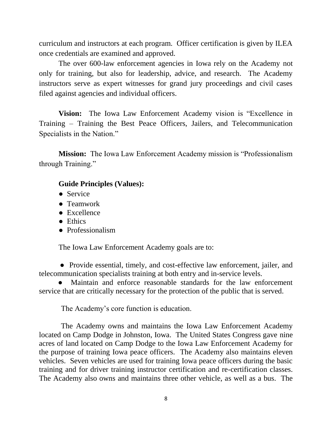curriculum and instructors at each program. Officer certification is given by ILEA once credentials are examined and approved.

The over 600-law enforcement agencies in Iowa rely on the Academy not only for training, but also for leadership, advice, and research. The Academy instructors serve as expert witnesses for grand jury proceedings and civil cases filed against agencies and individual officers.

**Vision:** The Iowa Law Enforcement Academy vision is "Excellence in Training – Training the Best Peace Officers, Jailers, and Telecommunication Specialists in the Nation."

**Mission:** The Iowa Law Enforcement Academy mission is "Professionalism through Training."

#### **Guide Principles (Values):**

- Service
- Teamwork
- Excellence
- Ethics
- Professionalism

The Iowa Law Enforcement Academy goals are to:

 **●** Provide essential, timely, and cost-effective law enforcement, jailer, and telecommunication specialists training at both entry and in-service levels.

 **●** Maintain and enforce reasonable standards for the law enforcement service that are critically necessary for the protection of the public that is served.

The Academy's core function is education.

The Academy owns and maintains the Iowa Law Enforcement Academy located on Camp Dodge in Johnston, Iowa. The United States Congress gave nine acres of land located on Camp Dodge to the Iowa Law Enforcement Academy for the purpose of training Iowa peace officers. The Academy also maintains eleven vehicles. Seven vehicles are used for training Iowa peace officers during the basic training and for driver training instructor certification and re-certification classes. The Academy also owns and maintains three other vehicle, as well as a bus. The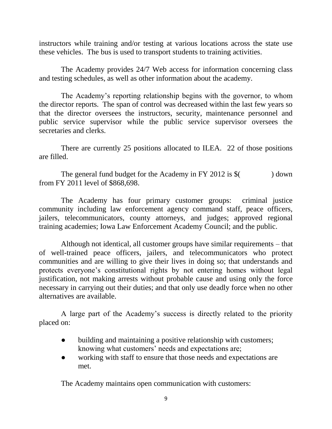instructors while training and/or testing at various locations across the state use these vehicles. The bus is used to transport students to training activities.

The Academy provides 24/7 Web access for information concerning class and testing schedules, as well as other information about the academy.

The Academy's reporting relationship begins with the governor, to whom the director reports. The span of control was decreased within the last few years so that the director oversees the instructors, security, maintenance personnel and public service supervisor while the public service supervisor oversees the secretaries and clerks.

There are currently 25 positions allocated to ILEA. 22 of those positions are filled.

The general fund budget for the Academy in FY 2012 is \$( ) down from FY 2011 level of \$868,698.

The Academy has four primary customer groups: criminal justice community including law enforcement agency command staff, peace officers, jailers, telecommunicators, county attorneys, and judges; approved regional training academies; Iowa Law Enforcement Academy Council; and the public.

Although not identical, all customer groups have similar requirements – that of well-trained peace officers, jailers, and telecommunicators who protect communities and are willing to give their lives in doing so; that understands and protects everyone's constitutional rights by not entering homes without legal justification, not making arrests without probable cause and using only the force necessary in carrying out their duties; and that only use deadly force when no other alternatives are available.

A large part of the Academy's success is directly related to the priority placed on:

- building and maintaining a positive relationship with customers; knowing what customers' needs and expectations are;
- working with staff to ensure that those needs and expectations are met.

The Academy maintains open communication with customers: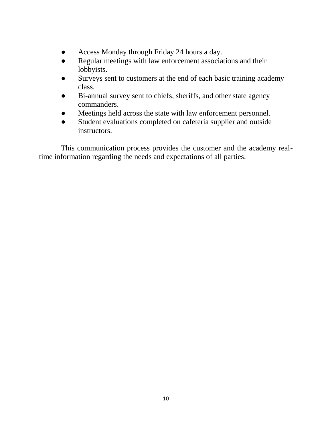- Access Monday through Friday 24 hours a day.
- Regular meetings with law enforcement associations and their lobbyists.
- Surveys sent to customers at the end of each basic training academy class.
- Bi-annual survey sent to chiefs, sheriffs, and other state agency commanders.
- Meetings held across the state with law enforcement personnel.
- Student evaluations completed on cafeteria supplier and outside instructors.

This communication process provides the customer and the academy realtime information regarding the needs and expectations of all parties.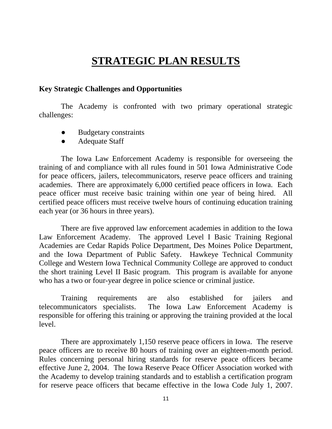# **STRATEGIC PLAN RESULTS**

#### **Key Strategic Challenges and Opportunities**

The Academy is confronted with two primary operational strategic challenges:

- **Budgetary constraints**
- Adequate Staff

The Iowa Law Enforcement Academy is responsible for overseeing the training of and compliance with all rules found in 501 Iowa Administrative Code for peace officers, jailers, telecommunicators, reserve peace officers and training academies. There are approximately 6,000 certified peace officers in Iowa. Each peace officer must receive basic training within one year of being hired. All certified peace officers must receive twelve hours of continuing education training each year (or 36 hours in three years).

There are five approved law enforcement academies in addition to the Iowa Law Enforcement Academy. The approved Level I Basic Training Regional Academies are Cedar Rapids Police Department, Des Moines Police Department, and the Iowa Department of Public Safety. Hawkeye Technical Community College and Western Iowa Technical Community College are approved to conduct the short training Level II Basic program. This program is available for anyone who has a two or four-year degree in police science or criminal justice.

Training requirements are also established for jailers and telecommunicators specialists. The Iowa Law Enforcement Academy is responsible for offering this training or approving the training provided at the local level.

There are approximately 1,150 reserve peace officers in Iowa. The reserve peace officers are to receive 80 hours of training over an eighteen-month period. Rules concerning personal hiring standards for reserve peace officers became effective June 2, 2004. The Iowa Reserve Peace Officer Association worked with the Academy to develop training standards and to establish a certification program for reserve peace officers that became effective in the Iowa Code July 1, 2007.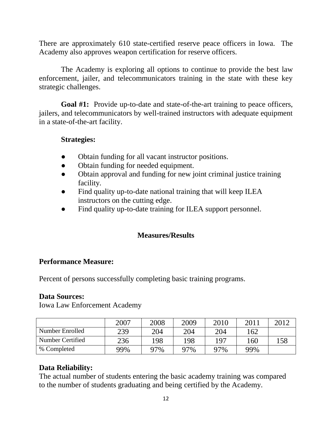There are approximately 610 state-certified reserve peace officers in Iowa. The Academy also approves weapon certification for reserve officers.

The Academy is exploring all options to continue to provide the best law enforcement, jailer, and telecommunicators training in the state with these key strategic challenges.

**Goal #1:** Provide up-to-date and state-of-the-art training to peace officers, jailers, and telecommunicators by well-trained instructors with adequate equipment in a state-of-the-art facility.

#### **Strategies:**

- **●** Obtain funding for all vacant instructor positions.
- Obtain funding for needed equipment.
- Obtain approval and funding for new joint criminal justice training facility.
- Find quality up-to-date national training that will keep ILEA instructors on the cutting edge.
- Find quality up-to-date training for ILEA support personnel.

# **Measures/Results**

#### **Performance Measure:**

Percent of persons successfully completing basic training programs.

#### **Data Sources:**

Iowa Law Enforcement Academy

|                  | 2007 | 2008 | 2009 | 2010 | 2011 | 2012 |
|------------------|------|------|------|------|------|------|
| Number Enrolled  | 239  | 204  | 204  | 204  | 162  |      |
| Number Certified | 236  | 198  | 198  | 197  | 160  | 158  |
| % Completed      | 99%  | 97%  | 97%  | 97%  | 99%  |      |

# **Data Reliability:**

The actual number of students entering the basic academy training was compared to the number of students graduating and being certified by the Academy.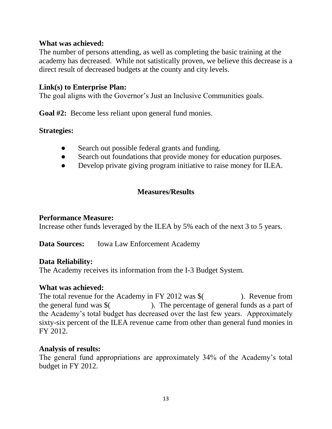#### **What was achieved:**

The number of persons attending, as well as completing the basic training at the academy has decreased. While not satistically proven, we believe this decrease is a direct result of decreased budgets at the county and city levels.

#### **Link(s) to Enterprise Plan:**

The goal aligns with the Governor's Just an Inclusive Communities goals.

**Goal #2:** Become less reliant upon general fund monies.

#### **Strategies:**

- **●** Search out possible federal grants and funding.
- Search out foundations that provide money for education purposes.
- Develop private giving program initiative to raise money for ILEA.

#### **Measures/Results**

#### **Performance Measure:**

Increase other funds leveraged by the ILEA by 5% each of the next 3 to 5 years.

**Data Sources:** Iowa Law Enforcement Academy

#### **Data Reliability:**

The Academy receives its information from the I-3 Budget System.

#### **What was achieved:**

The total revenue for the Academy in FY 2012 was \$ (Separately 2014). Revenue from the general fund was  $\frac{1}{2}$  (1). The percentage of general funds as a part of the Academy's total budget has decreased over the last few years. Approximately sixty-six percent of the ILEA revenue came from other than general fund monies in FY 2012.

#### **Analysis of results:**

The general fund appropriations are approximately 34% of the Academy's total budget in FY 2012.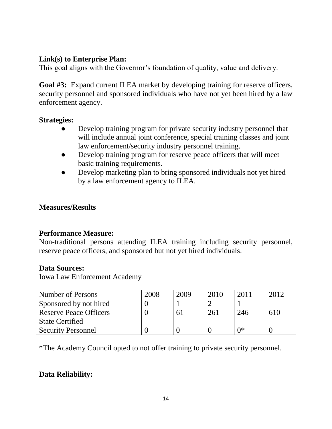# **Link(s) to Enterprise Plan:**

This goal aligns with the Governor's foundation of quality, value and delivery.

**Goal #3:** Expand current ILEA market by developing training for reserve officers, security personnel and sponsored individuals who have not yet been hired by a law enforcement agency.

# **Strategies:**

- Develop training program for private security industry personnel that will include annual joint conference, special training classes and joint law enforcement/security industry personnel training.
- Develop training program for reserve peace officers that will meet basic training requirements.
- Develop marketing plan to bring sponsored individuals not yet hired by a law enforcement agency to ILEA.

# **Measures/Results**

# **Performance Measure:**

Non-traditional persons attending ILEA training including security personnel, reserve peace officers, and sponsored but not yet hired individuals.

# **Data Sources:**

Iowa Law Enforcement Academy

| Number of Persons             | 2008 | 2009 | 2010 | 2011 |     |
|-------------------------------|------|------|------|------|-----|
| Sponsored by not hired        |      |      |      |      |     |
| <b>Reserve Peace Officers</b> |      |      | 261  | 246  | 610 |
| <b>State Certified</b>        |      |      |      |      |     |
| <b>Security Personnel</b>     |      |      |      | ∩∗   |     |

\*The Academy Council opted to not offer training to private security personnel.

# **Data Reliability:**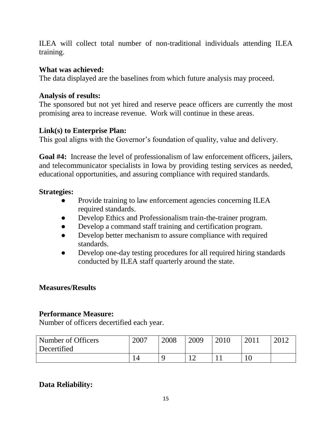ILEA will collect total number of non-traditional individuals attending ILEA training.

# **What was achieved:**

The data displayed are the baselines from which future analysis may proceed.

#### **Analysis of results:**

The sponsored but not yet hired and reserve peace officers are currently the most promising area to increase revenue. Work will continue in these areas.

#### **Link(s) to Enterprise Plan:**

This goal aligns with the Governor's foundation of quality, value and delivery.

**Goal #4:** Increase the level of professionalism of law enforcement officers, jailers, and telecommunicator specialists in Iowa by providing testing services as needed, educational opportunities, and assuring compliance with required standards.

#### **Strategies:**

- Provide training to law enforcement agencies concerning ILEA required standards.
- Develop Ethics and Professionalism train-the-trainer program.
- Develop a command staff training and certification program.
- Develop better mechanism to assure compliance with required standards.
- Develop one-day testing procedures for all required hiring standards conducted by ILEA staff quarterly around the state.

#### **Measures/Results**

#### **Performance Measure:**

Number of officers decertified each year.

| Number of Officers | 2007 | 2008 | 2009 | 2010 | 2011 | 2012 |
|--------------------|------|------|------|------|------|------|
| Decertified        |      |      |      |      |      |      |
|                    |      |      |      |      |      |      |

# **Data Reliability:**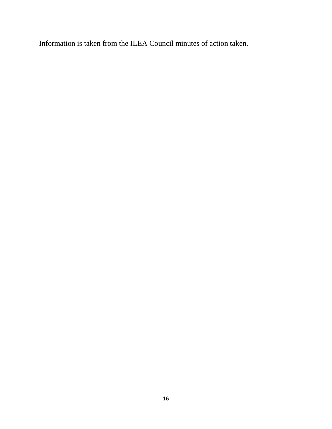Information is taken from the ILEA Council minutes of action taken.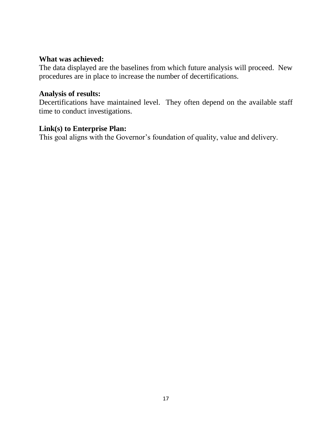#### **What was achieved:**

The data displayed are the baselines from which future analysis will proceed. New procedures are in place to increase the number of decertifications.

#### **Analysis of results:**

Decertifications have maintained level. They often depend on the available staff time to conduct investigations.

#### **Link(s) to Enterprise Plan:**

This goal aligns with the Governor's foundation of quality, value and delivery.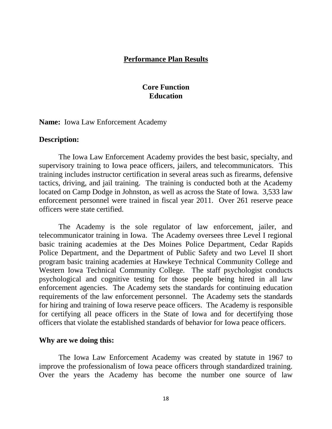#### **Performance Plan Results**

#### **Core Function Education**

**Name:** Iowa Law Enforcement Academy

#### **Description:**

The Iowa Law Enforcement Academy provides the best basic, specialty, and supervisory training to Iowa peace officers, jailers, and telecommunicators. This training includes instructor certification in several areas such as firearms, defensive tactics, driving, and jail training. The training is conducted both at the Academy located on Camp Dodge in Johnston, as well as across the State of Iowa. 3,533 law enforcement personnel were trained in fiscal year 2011. Over 261 reserve peace officers were state certified.

The Academy is the sole regulator of law enforcement, jailer, and telecommunicator training in Iowa. The Academy oversees three Level I regional basic training academies at the Des Moines Police Department, Cedar Rapids Police Department, and the Department of Public Safety and two Level II short program basic training academies at Hawkeye Technical Community College and Western Iowa Technical Community College. The staff psychologist conducts psychological and cognitive testing for those people being hired in all law enforcement agencies. The Academy sets the standards for continuing education requirements of the law enforcement personnel. The Academy sets the standards for hiring and training of Iowa reserve peace officers. The Academy is responsible for certifying all peace officers in the State of Iowa and for decertifying those officers that violate the established standards of behavior for Iowa peace officers.

#### **Why are we doing this:**

The Iowa Law Enforcement Academy was created by statute in 1967 to improve the professionalism of Iowa peace officers through standardized training. Over the years the Academy has become the number one source of law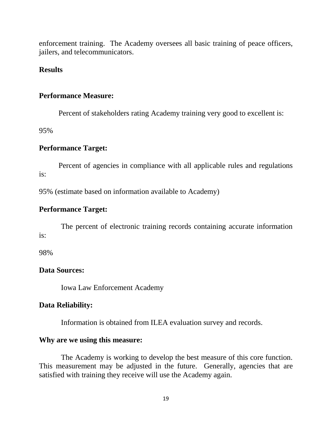enforcement training. The Academy oversees all basic training of peace officers, jailers, and telecommunicators.

#### **Results**

#### **Performance Measure:**

Percent of stakeholders rating Academy training very good to excellent is:

95%

# **Performance Target:**

Percent of agencies in compliance with all applicable rules and regulations is:

95% (estimate based on information available to Academy)

# **Performance Target:**

The percent of electronic training records containing accurate information is:

98%

# **Data Sources:**

Iowa Law Enforcement Academy

# **Data Reliability:**

Information is obtained from ILEA evaluation survey and records.

#### **Why are we using this measure:**

The Academy is working to develop the best measure of this core function. This measurement may be adjusted in the future. Generally, agencies that are satisfied with training they receive will use the Academy again.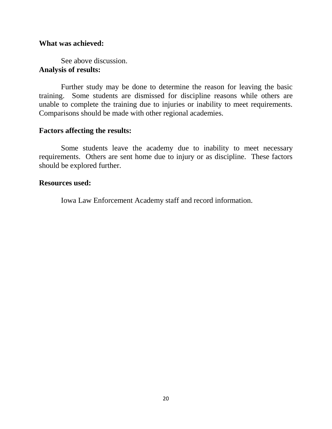#### **What was achieved:**

See above discussion. **Analysis of results:**

Further study may be done to determine the reason for leaving the basic training. Some students are dismissed for discipline reasons while others are unable to complete the training due to injuries or inability to meet requirements. Comparisons should be made with other regional academies.

#### **Factors affecting the results:**

Some students leave the academy due to inability to meet necessary requirements. Others are sent home due to injury or as discipline. These factors should be explored further.

#### **Resources used:**

Iowa Law Enforcement Academy staff and record information.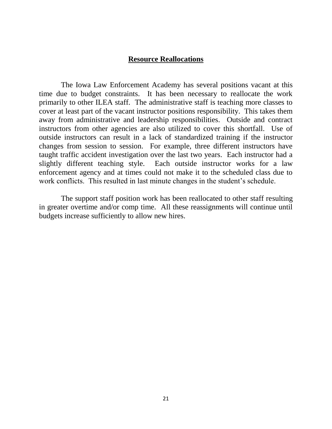#### **Resource Reallocations**

The Iowa Law Enforcement Academy has several positions vacant at this time due to budget constraints. It has been necessary to reallocate the work primarily to other ILEA staff. The administrative staff is teaching more classes to cover at least part of the vacant instructor positions responsibility. This takes them away from administrative and leadership responsibilities. Outside and contract instructors from other agencies are also utilized to cover this shortfall. Use of outside instructors can result in a lack of standardized training if the instructor changes from session to session. For example, three different instructors have taught traffic accident investigation over the last two years. Each instructor had a slightly different teaching style. Each outside instructor works for a law enforcement agency and at times could not make it to the scheduled class due to work conflicts. This resulted in last minute changes in the student's schedule.

The support staff position work has been reallocated to other staff resulting in greater overtime and/or comp time. All these reassignments will continue until budgets increase sufficiently to allow new hires.